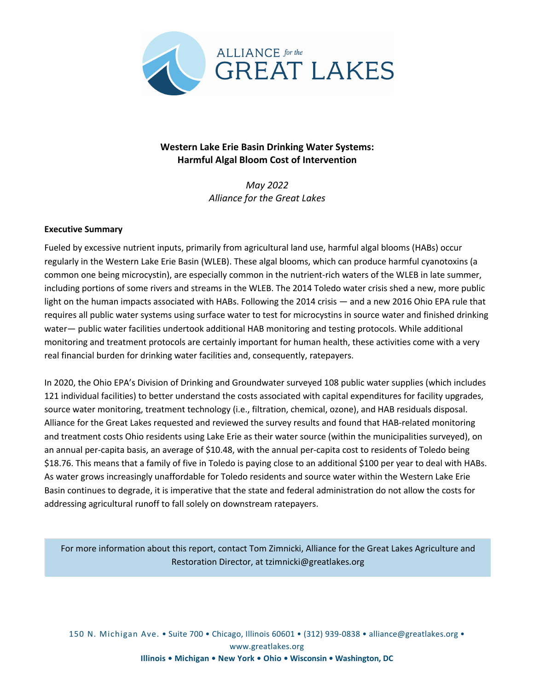

# **Western Lake Erie Basin Drinking Water Systems: Harmful Algal Bloom Cost of Intervention**

*May 2022 Alliance for the Great Lakes*

## **Executive Summary**

Fueled by excessive nutrient inputs, primarily from agricultural land use, harmful algal blooms (HABs) occur regularly in the Western Lake Erie Basin (WLEB). These algal blooms, which can produce harmful cyanotoxins (a common one being microcystin), are especially common in the nutrient-rich waters of the WLEB in late summer, including portions of some rivers and streams in the WLEB. The 2014 Toledo water crisis shed a new, more public light on the human impacts associated with HABs. Following the 2014 crisis — and a new 2016 Ohio EPA rule that requires all public water systems using surface water to test for microcystins in source water and finished drinking water— public water facilities undertook additional HAB monitoring and testing protocols. While additional monitoring and treatment protocols are certainly important for human health, these activities come with a very real financial burden for drinking water facilities and, consequently, ratepayers.

In 2020, the Ohio EPA's Division of Drinking and Groundwater surveyed 108 public water supplies (which includes 121 individual facilities) to better understand the costs associated with capital expenditures for facility upgrades, source water monitoring, treatment technology (i.e., filtration, chemical, ozone), and HAB residuals disposal. Alliance for the Great Lakes requested and reviewed the survey results and found that HAB-related monitoring and treatment costs Ohio residents using Lake Erie as their water source (within the municipalities surveyed), on an annual per-capita basis, an average of \$10.48, with the annual per-capita cost to residents of Toledo being \$18.76. This means that a family of five in Toledo is paying close to an additional \$100 per year to deal with HABs. As water grows increasingly unaffordable for Toledo residents and source water within the Western Lake Erie Basin continues to degrade, it is imperative that the state and federal administration do not allow the costs for addressing agricultural runoff to fall solely on downstream ratepayers.

For more information about this report, contact Tom Zimnicki, Alliance for the Great Lakes Agriculture and Restoration Director, at tzimnicki@greatlakes.org

150 N. Michigan Ave. • Suite 700 • Chicago, Illinois 60601 • (312) 939-0838 • alliance@greatlakes.org • www.greatlakes.org **Illinois • Michigan • New York • Ohio • Wisconsin • Washington, DC**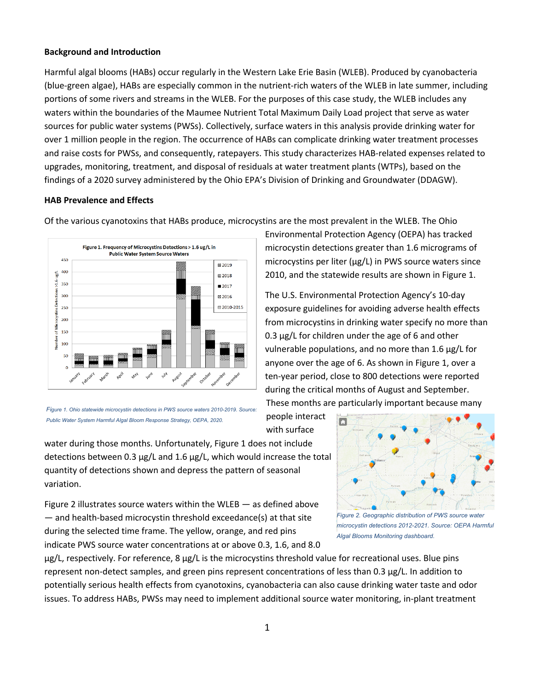## **Background and Introduction**

Harmful algal blooms (HABs) occur regularly in the Western Lake Erie Basin (WLEB). Produced by cyanobacteria (blue-green algae), HABs are especially common in the nutrient-rich waters of the WLEB in late summer, including portions of some rivers and streams in the WLEB. For the purposes of this case study, the WLEB includes any waters within the boundaries of the Maumee Nutrient Total Maximum Daily Load project that serve as water sources for public water systems (PWSs). Collectively, surface waters in this analysis provide drinking water for over 1 million people in the region. The occurrence of HABs can complicate drinking water treatment processes and raise costs for PWSs, and consequently, ratepayers. This study characterizes HAB-related expenses related to upgrades, monitoring, treatment, and disposal of residuals at water treatment plants (WTPs), based on the findings of a 2020 survey administered by the Ohio EPA's Division of Drinking and Groundwater (DDAGW).

## **HAB Prevalence and Effects**

Of the various cyanotoxins that HABs produce, microcystins are the most prevalent in the WLEB. The Ohio





people interact with surface

water during those months. Unfortunately, Figure 1 does not include detections between 0.3 μg/L and 1.6 μg/L, which would increase the total quantity of detections shown and depress the pattern of seasonal variation.

Figure 2 illustrates source waters within the WLEB — as defined above — and health-based microcystin threshold exceedance(s) at that site during the selected time frame. The yellow, orange, and red pins indicate PWS source water concentrations at or above 0.3, 1.6, and 8.0

μg/L, respectively. For reference, 8 μg/L is the microcystins threshold value for recreational uses. Blue pins represent non-detect samples, and green pins represent concentrations of less than 0.3 μg/L. In addition to potentially serious health effects from cyanotoxins, cyanobacteria can also cause drinking water taste and odor issues. To address HABs, PWSs may need to implement additional source water monitoring, in-plant treatment



*Figure 2. Geographic distribution of PWS source water microcystin detections 2012-2021. Source: OEPA Harmful Algal Blooms Monitoring dashboard.*

Environmental Protection Agency (OEPA) has tracked microcystin detections greater than 1.6 micrograms of microcystins per liter (μg/L) in PWS source waters since 2010, and the statewide results are shown in Figure 1.

The U.S. Environmental Protection Agency's 10-day

exposure guidelines for avoiding adverse health effects from microcystins in drinking water specify no more than 0.3 μg/L for children under the age of 6 and other vulnerable populations, and no more than 1.6 μg/L for anyone over the age of 6. As shown in Figure 1, over a ten-year period, close to 800 detections were reported during the critical months of August and September. These months are particularly important because many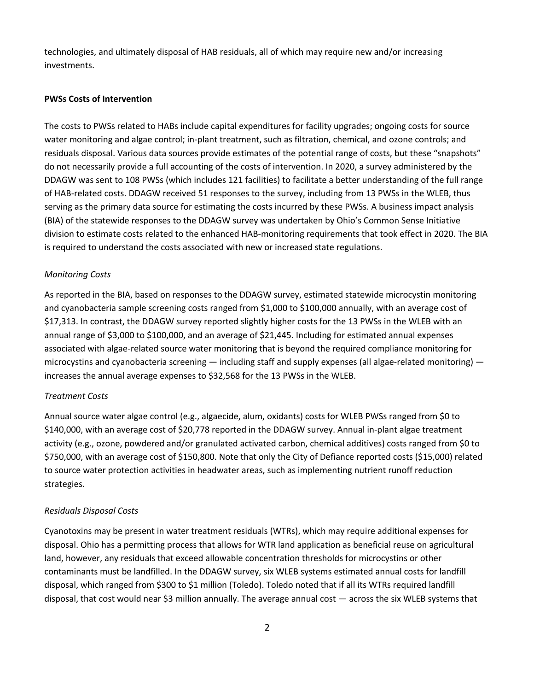technologies, and ultimately disposal of HAB residuals, all of which may require new and/or increasing investments.

#### **PWSs Costs of Intervention**

The costs to PWSs related to HABs include capital expenditures for facility upgrades; ongoing costs for source water monitoring and algae control; in-plant treatment, such as filtration, chemical, and ozone controls; and residuals disposal. Various data sources provide estimates of the potential range of costs, but these "snapshots" do not necessarily provide a full accounting of the costs of intervention. In 2020, a survey administered by the DDAGW was sent to 108 PWSs (which includes 121 facilities) to facilitate a better understanding of the full range of HAB-related costs. DDAGW received 51 responses to the survey, including from 13 PWSs in the WLEB, thus serving as the primary data source for estimating the costs incurred by these PWSs. A business impact analysis (BIA) of the statewide responses to the DDAGW survey was undertaken by Ohio's Common Sense Initiative division to estimate costs related to the enhanced HAB-monitoring requirements that took effect in 2020. The BIA is required to understand the costs associated with new or increased state regulations.

## *Monitoring Costs*

As reported in the BIA, based on responses to the DDAGW survey, estimated statewide microcystin monitoring and cyanobacteria sample screening costs ranged from \$1,000 to \$100,000 annually, with an average cost of \$17,313. In contrast, the DDAGW survey reported slightly higher costs for the 13 PWSs in the WLEB with an annual range of \$3,000 to \$100,000, and an average of \$21,445. Including for estimated annual expenses associated with algae-related source water monitoring that is beyond the required compliance monitoring for microcystins and cyanobacteria screening  $-$  including staff and supply expenses (all algae-related monitoring)  $$ increases the annual average expenses to \$32,568 for the 13 PWSs in the WLEB.

#### *Treatment Costs*

Annual source water algae control (e.g., algaecide, alum, oxidants) costs for WLEB PWSs ranged from \$0 to \$140,000, with an average cost of \$20,778 reported in the DDAGW survey. Annual in-plant algae treatment activity (e.g., ozone, powdered and/or granulated activated carbon, chemical additives) costs ranged from \$0 to \$750,000, with an average cost of \$150,800. Note that only the City of Defiance reported costs (\$15,000) related to source water protection activities in headwater areas, such as implementing nutrient runoff reduction strategies.

## *Residuals Disposal Costs*

Cyanotoxins may be present in water treatment residuals (WTRs), which may require additional expenses for disposal. Ohio has a permitting process that allows for WTR land application as beneficial reuse on agricultural land, however, any residuals that exceed allowable concentration thresholds for microcystins or other contaminants must be landfilled. In the DDAGW survey, six WLEB systems estimated annual costs for landfill disposal, which ranged from \$300 to \$1 million (Toledo). Toledo noted that if all its WTRs required landfill disposal, that cost would near \$3 million annually. The average annual cost — across the six WLEB systems that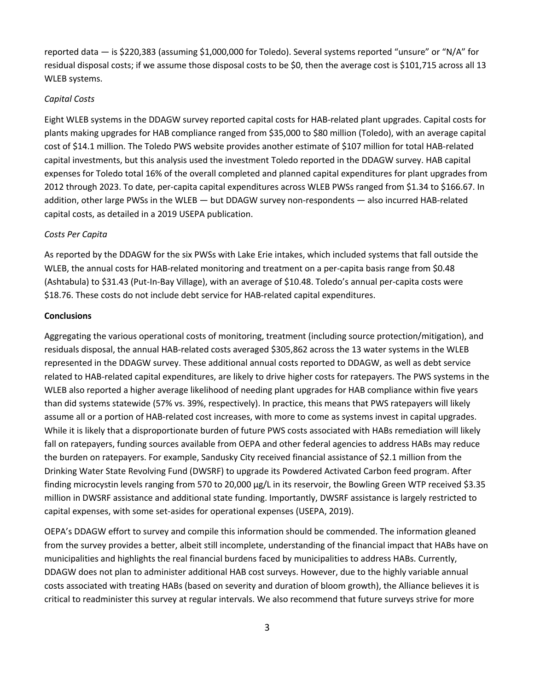reported data — is \$220,383 (assuming \$1,000,000 for Toledo). Several systems reported "unsure" or "N/A" for residual disposal costs; if we assume those disposal costs to be \$0, then the average cost is \$101,715 across all 13 WLEB systems.

## *Capital Costs*

Eight WLEB systems in the DDAGW survey reported capital costs for HAB-related plant upgrades. Capital costs for plants making upgrades for HAB compliance ranged from \$35,000 to \$80 million (Toledo), with an average capital cost of \$14.1 million. The Toledo PWS website provides another estimate of \$107 million for total HAB-related capital investments, but this analysis used the investment Toledo reported in the DDAGW survey. HAB capital expenses for Toledo total 16% of the overall completed and planned capital expenditures for plant upgrades from 2012 through 2023. To date, per-capita capital expenditures across WLEB PWSs ranged from \$1.34 to \$166.67. In addition, other large PWSs in the WLEB — but DDAGW survey non-respondents — also incurred HAB-related capital costs, as detailed in a 2019 USEPA publication.

## *Costs Per Capita*

As reported by the DDAGW for the six PWSs with Lake Erie intakes, which included systems that fall outside the WLEB, the annual costs for HAB-related monitoring and treatment on a per-capita basis range from \$0.48 (Ashtabula) to \$31.43 (Put-In-Bay Village), with an average of \$10.48. Toledo's annual per-capita costs were \$18.76. These costs do not include debt service for HAB-related capital expenditures.

## **Conclusions**

Aggregating the various operational costs of monitoring, treatment (including source protection/mitigation), and residuals disposal, the annual HAB-related costs averaged \$305,862 across the 13 water systems in the WLEB represented in the DDAGW survey. These additional annual costs reported to DDAGW, as well as debt service related to HAB-related capital expenditures, are likely to drive higher costs for ratepayers. The PWS systems in the WLEB also reported a higher average likelihood of needing plant upgrades for HAB compliance within five years than did systems statewide (57% vs. 39%, respectively). In practice, this means that PWS ratepayers will likely assume all or a portion of HAB-related cost increases, with more to come as systems invest in capital upgrades. While it is likely that a disproportionate burden of future PWS costs associated with HABs remediation will likely fall on ratepayers, funding sources available from OEPA and other federal agencies to address HABs may reduce the burden on ratepayers. For example, Sandusky City received financial assistance of \$2.1 million from the Drinking Water State Revolving Fund (DWSRF) to upgrade its Powdered Activated Carbon feed program. After finding microcystin levels ranging from 570 to 20,000 μg/L in its reservoir, the Bowling Green WTP received \$3.35 million in DWSRF assistance and additional state funding. Importantly, DWSRF assistance is largely restricted to capital expenses, with some set-asides for operational expenses (USEPA, 2019).

OEPA's DDAGW effort to survey and compile this information should be commended. The information gleaned from the survey provides a better, albeit still incomplete, understanding of the financial impact that HABs have on municipalities and highlights the real financial burdens faced by municipalities to address HABs. Currently, DDAGW does not plan to administer additional HAB cost surveys. However, due to the highly variable annual costs associated with treating HABs (based on severity and duration of bloom growth), the Alliance believes it is critical to readminister this survey at regular intervals. We also recommend that future surveys strive for more